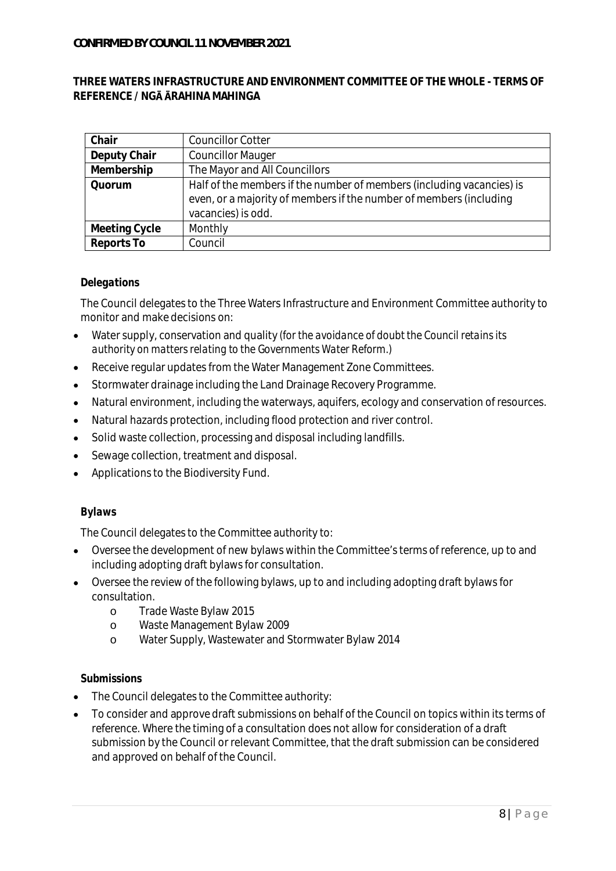# **THREE WATERS INFRASTRUCTURE AND ENVIRONMENT COMMITTEE OF THE WHOLE - TERMS OF REFERENCE / NG RAHINA MAHINGA**

| Chair         | <b>Councillor Cotter</b>                                              |
|---------------|-----------------------------------------------------------------------|
| Deputy Chair  | <b>Councillor Mauger</b>                                              |
| Membership    | The Mayor and All Councillors                                         |
| Quorum        | Half of the members if the number of members (including vacancies) is |
|               | even, or a majority of members if the number of members (including    |
|               | vacancies) is odd.                                                    |
| Meeting Cycle | Monthly                                                               |
| Reports To    | Council                                                               |

# *Delegations*

The Council delegates to the Three Waters Infrastructure and Environment Committee authority to monitor and make decisions on:

- Water supply, conservation and quality *(for the avoidance of doubt the Council retains its*  $\bullet$ *authority on matters relating to the Governments Water Reform.)*
- Receive regular updates from the Water Management Zone Committees.  $\bullet$
- Stormwater drainage including the Land Drainage Recovery Programme.  $\bullet$
- Natural environment, including the waterways, aquifers, ecology and conservation of resources.  $\bullet$
- Natural hazards protection, including flood protection and river control.  $\bullet$
- Solid waste collection, processing and disposal including landfills.  $\bullet$
- Sewage collection, treatment and disposal.  $\bullet$
- Applications to the Biodiversity Fund.  $\bullet$

# *Bylaws*

The Council delegates to the Committee authority to:

- Oversee the development of new bylaws within the Committee's terms of reference, up to and including adopting draft bylaws for consultation.
- Oversee the review of the following bylaws, up to and including adopting draft bylaws for consultation.
	- o Trade Waste Bylaw 2015
	- o Waste Management Bylaw 2009
	- o Water Supply, Wastewater and Stormwater Bylaw 2014

# *Submissions*

- The Council delegates to the Committee authority:
- To consider and approve draft submissions on behalf of the Council on topics within its terms of reference. Where the timing of a consultation does not allow for consideration of a draft submission by the Council or relevant Committee, that the draft submission can be considered and approved on behalf of the Council.